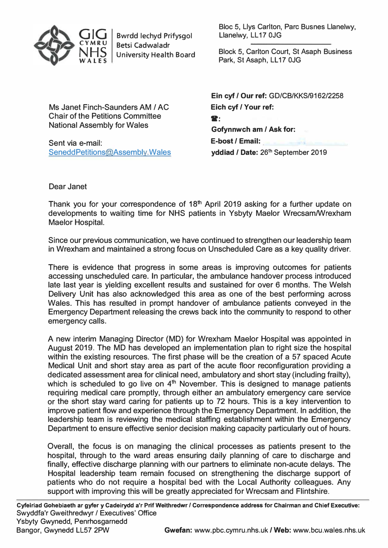

Bwrdd lechyd Prifysgol Betsi Cadwaladr University Health Board Bloc 5, Llys Carlton, Pare Busnes Llanelwy, Llanelwy, LL 17 0JG

Block 5, Carlton Court, St Asaph Business Park, St Asaph, LL17 0JG

Ms Janet Finch-Saunders AM / AC Chair of the Petitions Committee National Assembly for Wales

Sent via e-mail: SeneddPetitions@Assembly.Wales

**Ein cyf** / **Our ref:** GD/CB/KKS/9162/2258 **Eich cyf** / **Your ref:**   $\mathbf{R}$ : **Gofynnwch am** / **Ask for: E-bost** / **Email: yddiad** / **Date:** 26 th September 2019

Dear Janet

Thank you for your correspondence of 18**th** April 2019 asking for a further update on developments to waiting time for NHS patients in Ysbyty Maelor Wrecsam/Wrexham Maelor Hospital.

Since our previous communication, we have continued to strengthen our leadership team in Wrexham and maintained a strong focus on Unscheduled Care as a key quality driver.

There is evidence that progress in some areas is improving outcomes for patients accessing unscheduled care. In particular, the ambulance handover process introduced late last year is yielding excellent results and sustained for over 6 months. The Welsh Delivery Unit has also acknowledged this area as one of the best performing across Wales. This has resulted in prompt handover of ambulance patients conveyed in the Emergency Department releasing the crews back into the community to respond to other emergency calls.

A new interim Managing Director (MD) for Wrexham Maelor Hospital was appointed in August 2019. The MD has developed an implementation plan to right size the hospital within the existing resources. The first phase will be the creation of a 57 spaced Acute Medical Unit and short stay area as part of the acute floor reconfiguration providing a dedicated assessment area for clinical need, ambulatory and short stay (including frailty), which is scheduled to go live on 4<sup>th</sup> November. This is designed to manage patients requiring medical care promptly, through either an ambulatory emergency care service or the short stay ward caring for patients up to 72 hours. This is a key intervention to improve patient flow and experience through the Emergency Department. In addition, the leadership team is reviewing the medical staffing establishment within the Emergency Department to ensure effective senior decision making capacity particularly out of hours.

Overall, the focus is on managing the clinical processes as patients present to the hospital, through to the ward areas ensuring daily planning of care to discharge and finally, effective discharge planning with our partners to eliminate non-acute delays. The Hospital leadership team remain focused on strengthening the discharge support of patients who do not require a hospital bed with the Local Authority colleagues. Any support with improving this will be greatly appreciated for Wrecsam and Flintshire.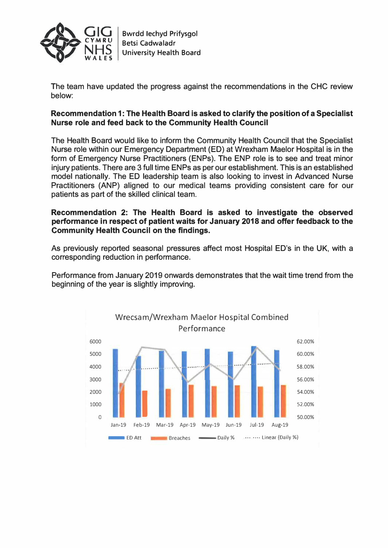

The team have updated the progress against the recommendations in the CHC review below:

## **Recommendation 1: The Health Board is asked to clarify the position of a Specialist Nurse role and feed back to the Community Health Council**

The Health Board would like to inform the Community Health Council that the Specialist Nurse role within our Emergency Department (ED) at Wrexham Maelor Hospital is in the form of Emergency Nurse Practitioners (ENPs). The ENP role is to see and treat minor injury patients. There are 3 full time ENPs as per our establishment. This is an established model nationally. The ED leadership team is also looking to invest in Advanced Nurse Practitioners (ANP) aligned to our medical teams providing consistent care for our patients as part of the skilled clinical team.

## **Recommendation 2: The Health Board is asked to investigate the observed performance in respect of patient waits for January 2018 and offer feedback to the Community Health Council on the findings.**

As previously reported seasonal pressures affect most Hospital ED's in the UK, with a corresponding reduction in performance.

Performance from January 2019 onwards demonstrates that the wait time trend from the beginning of the year is slightly improving.

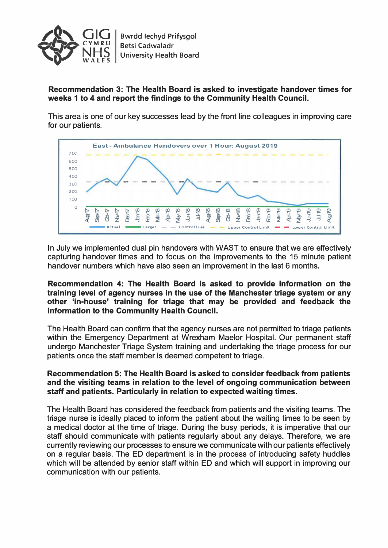

**Recommendation 3: The Health Board is asked to investigate handover times for weeks 1 to 4 and report the findings to the Community Health Council.** 

This area is one of our key successes lead by the front line colleagues in improving care for our patients.



In July we implemented dual pin handovers with WAST to ensure that we are effectively capturing handover times and to focus on the improvements to the 15 minute patient handover numbers which have also seen an improvement in the last 6 months.

**Recommendation 4: The Health Board is asked to provide information on the training level of agency nurses in the use of the Manchester triage system or any other 'in-house' training for triage that may be provided and feedback the information to the Community Health Council.** 

The Health Board can confirm that the agency nurses are not permitted to triage patients within the Emergency Department at Wrexham Maelor Hospital. Our permanent staff undergo Manchester Triage System training and undertaking the triage process for our patients once the staff member is deemed competent to triage.

## **Recommendation 5: The Health Board is asked to consider feedback from patients and the visiting teams in relation to the level of ongoing communication between staff and patients. Particularly in relation to expected waiting times.**

The Health Board has considered the feedback from patients and the visiting teams. The triage nurse is ideally placed to inform the patient about the waiting times to be seen by a medical doctor at the time of triage. During the busy periods, it is imperative that our staff should communicate with patients regularly about any delays. Therefore, we are currently reviewing our processes to ensure we communicate with our patients effectively on a regular basis. The ED department is in the process of introducing safety huddles which will be attended by senior staff within ED and which will support in improving our communication with our patients.